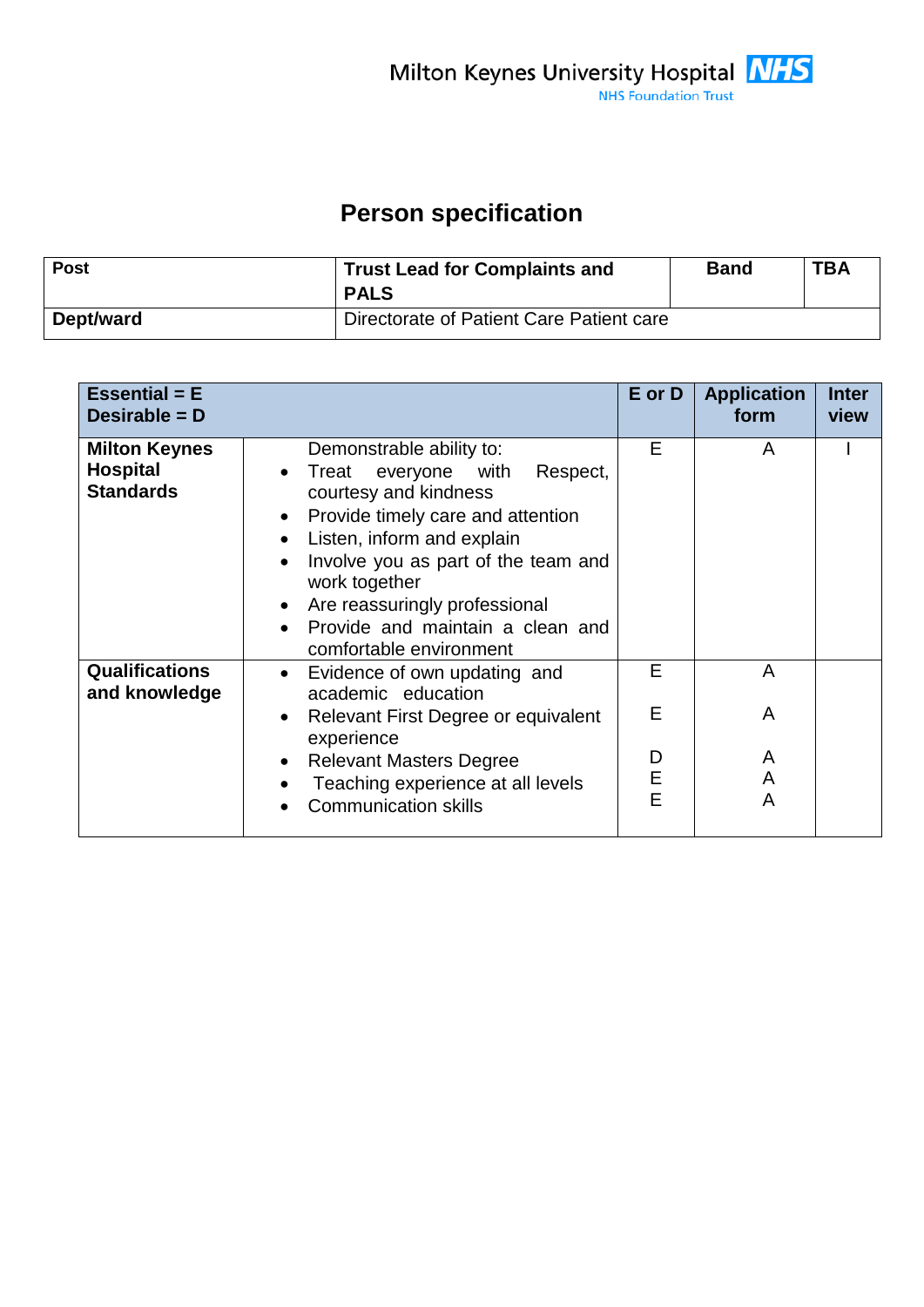## **Person specification**

| <b>Post</b> | <b>Trust Lead for Complaints and</b><br><b>PALS</b> | Band | <b>TBA</b> |
|-------------|-----------------------------------------------------|------|------------|
| Dept/ward   | Directorate of Patient Care Patient care            |      |            |

| <b>Essential = E</b><br>Desirable = $D$                     |                                                                                                                                                                                                                                                                                                                                   | E or D                | <b>Application</b><br>form | <b>Inter</b><br>view |
|-------------------------------------------------------------|-----------------------------------------------------------------------------------------------------------------------------------------------------------------------------------------------------------------------------------------------------------------------------------------------------------------------------------|-----------------------|----------------------------|----------------------|
| <b>Milton Keynes</b><br><b>Hospital</b><br><b>Standards</b> | Demonstrable ability to:<br>Respect,<br>everyone with<br>Treat<br>courtesy and kindness<br>Provide timely care and attention<br>Listen, inform and explain<br>Involve you as part of the team and<br>work together<br>• Are reassuringly professional<br>Provide and maintain a clean and<br>$\bullet$<br>comfortable environment | E                     | A                          |                      |
| <b>Qualifications</b><br>and knowledge                      | Evidence of own updating and<br>academic education<br>Relevant First Degree or equivalent<br>experience<br><b>Relevant Masters Degree</b><br>$\bullet$<br>Teaching experience at all levels<br><b>Communication skills</b>                                                                                                        | E<br>Е<br>D<br>E<br>E | A<br>A<br>A<br>A<br>A      |                      |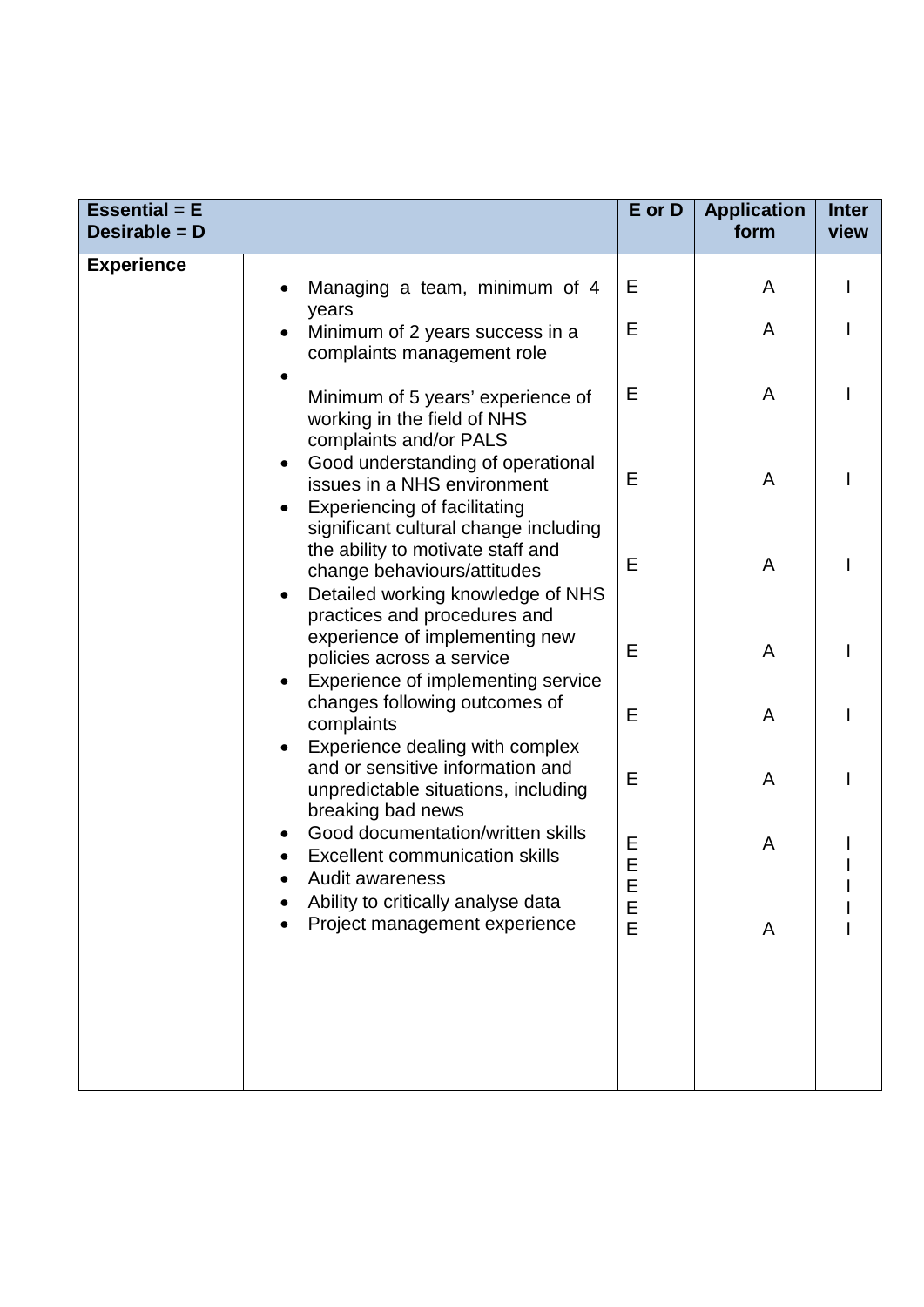| <b>Essential = E</b><br>Desirable = D |                                                                                                                                                                                                                                                                                     | E or D      | <b>Application</b><br>form | <b>Inter</b><br>view |
|---------------------------------------|-------------------------------------------------------------------------------------------------------------------------------------------------------------------------------------------------------------------------------------------------------------------------------------|-------------|----------------------------|----------------------|
| <b>Experience</b>                     | Managing a team, minimum of 4<br>years<br>Minimum of 2 years success in a                                                                                                                                                                                                           | Е<br>Е      | A<br>A                     |                      |
|                                       | complaints management role<br>Minimum of 5 years' experience of<br>working in the field of NHS                                                                                                                                                                                      | Е           | A                          |                      |
|                                       | complaints and/or PALS<br>Good understanding of operational<br>issues in a NHS environment<br><b>Experiencing of facilitating</b>                                                                                                                                                   | E           | A                          |                      |
|                                       | significant cultural change including<br>the ability to motivate staff and<br>change behaviours/attitudes<br>Detailed working knowledge of NHS<br>practices and procedures and<br>experience of implementing new<br>policies across a service<br>Experience of implementing service | E           | A                          |                      |
|                                       |                                                                                                                                                                                                                                                                                     | E           | A                          |                      |
|                                       | changes following outcomes of<br>complaints<br>Experience dealing with complex                                                                                                                                                                                                      | E           | A                          |                      |
|                                       | and or sensitive information and<br>unpredictable situations, including<br>breaking bad news                                                                                                                                                                                        | E           | A                          |                      |
|                                       | Good documentation/written skills<br>٠<br><b>Excellent communication skills</b><br>Audit awareness                                                                                                                                                                                  | Е<br>E<br>E | A                          |                      |
|                                       | Ability to critically analyse data<br>Project management experience                                                                                                                                                                                                                 | E<br>E      | A                          |                      |
|                                       |                                                                                                                                                                                                                                                                                     |             |                            |                      |
|                                       |                                                                                                                                                                                                                                                                                     |             |                            |                      |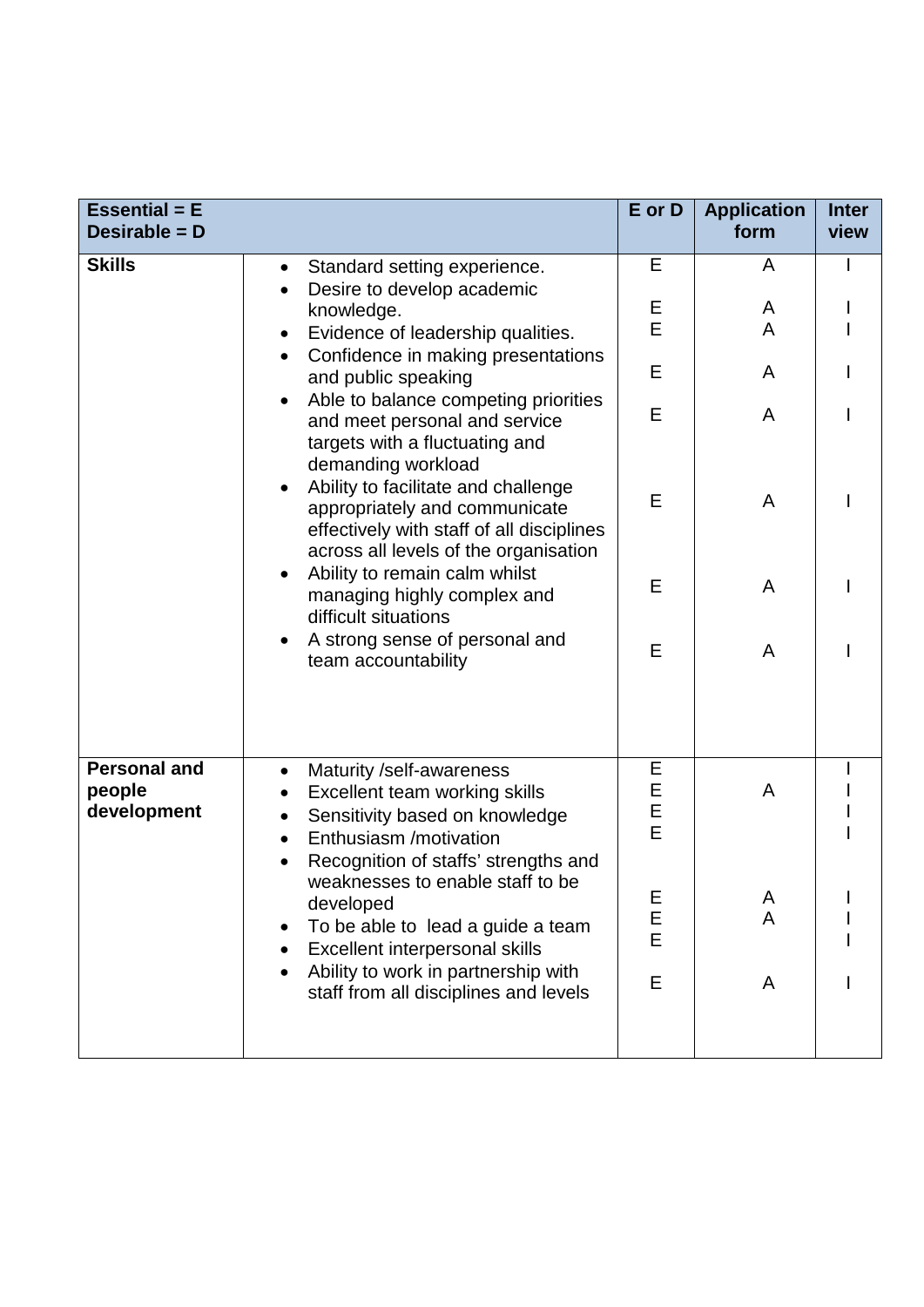| <b>Essential = E</b><br>Desirable = D        |                                                                                                                                                                     | E or D      | <b>Application</b><br>form | <b>Inter</b><br>view |
|----------------------------------------------|---------------------------------------------------------------------------------------------------------------------------------------------------------------------|-------------|----------------------------|----------------------|
| <b>Skills</b>                                | Standard setting experience.<br>$\bullet$<br>Desire to develop academic                                                                                             | Е           | A                          |                      |
|                                              | knowledge.<br>Evidence of leadership qualities.<br>$\bullet$                                                                                                        | Е<br>E      | A<br>A                     |                      |
|                                              | Confidence in making presentations<br>and public speaking                                                                                                           | E           | A                          |                      |
|                                              | Able to balance competing priorities<br>and meet personal and service<br>targets with a fluctuating and<br>demanding workload                                       | E           | A                          |                      |
|                                              | Ability to facilitate and challenge<br>appropriately and communicate<br>effectively with staff of all disciplines<br>across all levels of the organisation          | E           | A                          |                      |
|                                              | Ability to remain calm whilst<br>managing highly complex and<br>difficult situations                                                                                | Е           | A                          |                      |
|                                              | A strong sense of personal and<br>team accountability                                                                                                               | E           | A                          |                      |
| <b>Personal and</b><br>people<br>development | Maturity /self-awareness<br>$\bullet$<br>Excellent team working skills<br>$\bullet$<br>Sensitivity based on knowledge<br>$\bullet$<br>Enthusiasm /motivation        | Е<br>EEE    | A                          |                      |
|                                              | Recognition of staffs' strengths and<br>weaknesses to enable staff to be<br>developed<br>To be able to lead a guide a team<br><b>Excellent interpersonal skills</b> | E<br>E<br>E | A<br>A                     |                      |
|                                              | Ability to work in partnership with<br>staff from all disciplines and levels                                                                                        | E           | A                          |                      |